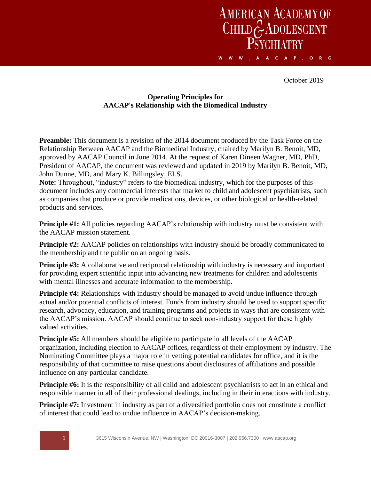## AMERICAN ACADEMY OF<br>CHILD GADOLESCENT **PSYCHLATRY** A A C A P . O R G w w w

October 2019

## **Operating Principles for AACAP's Relationship with the Biomedical Industry**

**Preamble:** This document is a revision of the 2014 document produced by the Task Force on the Relationship Between AACAP and the Biomedical Industry, chaired by Marilyn B. Benoit, MD, approved by AACAP Council in June 2014. At the request of Karen Dineen Wagner, MD, PhD, President of AACAP, the document was reviewed and updated in 2019 by Marilyn B. Benoit, MD, John Dunne, MD, and Mary K. Billingsley, ELS.

**Note:** Throughout, "industry" refers to the biomedical industry, which for the purposes of this document includes any commercial interests that market to child and adolescent psychiatrists, such as companies that produce or provide medications, devices, or other biological or health-related products and services.

**Principle #1:** All policies regarding AACAP's relationship with industry must be consistent with the AACAP mission statement.

**Principle #2:** AACAP policies on relationships with industry should be broadly communicated to the membership and the public on an ongoing basis.

**Principle #3:** A collaborative and reciprocal relationship with industry is necessary and important for providing expert scientific input into advancing new treatments for children and adolescents with mental illnesses and accurate information to the membership.

**Principle #4:** Relationships with industry should be managed to avoid undue influence through actual and/or potential conflicts of interest. Funds from industry should be used to support specific research, advocacy, education, and training programs and projects in ways that are consistent with the AACAP's mission. AACAP should continue to seek non‐industry support for these highly valued activities.

**Principle #5:** All members should be eligible to participate in all levels of the AACAP organization, including election to AACAP offices, regardless of their employment by industry. The Nominating Committee plays a major role in vetting potential candidates for office, and it is the responsibility of that committee to raise questions about disclosures of affiliations and possible influence on any particular candidate.

**Principle #6:** It is the responsibility of all child and adolescent psychiatrists to act in an ethical and responsible manner in all of their professional dealings, including in their interactions with industry.

**Principle #7:** Investment in industry as part of a diversified portfolio does not constitute a conflict of interest that could lead to undue influence in AACAP's decision-making.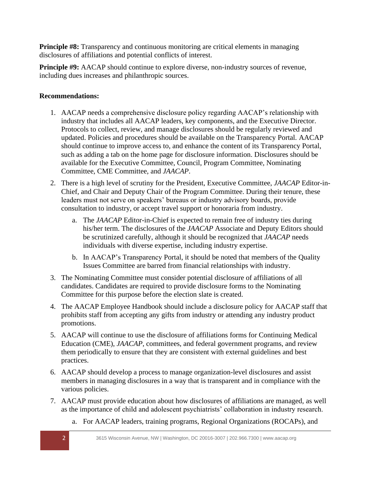**Principle #8:** Transparency and continuous monitoring are critical elements in managing disclosures of affiliations and potential conflicts of interest.

**Principle #9:** AACAP should continue to explore diverse, non-industry sources of revenue, including dues increases and philanthropic sources.

## **Recommendations:**

- 1. AACAP needs a comprehensive disclosure policy regarding AACAP's relationship with industry that includes all AACAP leaders, key components, and the Executive Director. Protocols to collect, review, and manage disclosures should be regularly reviewed and updated. Policies and procedures should be available on the Transparency Portal. AACAP should continue to improve access to, and enhance the content of its Transparency Portal, such as adding a tab on the home page for disclosure information. Disclosures should be available for the Executive Committee, Council, Program Committee, Nominating Committee, CME Committee, and *JAACAP*.
- 2. There is a high level of scrutiny for the President, Executive Committee, *JAACAP* Editor-in-Chief, and Chair and Deputy Chair of the Program Committee. During their tenure, these leaders must not serve on speakers' bureaus or industry advisory boards, provide consultation to industry, or accept travel support or honoraria from industry.
	- a. The *JAACAP* Editor-in-Chief is expected to remain free of industry ties during his/her term. The disclosures of the *JAACAP* Associate and Deputy Editors should be scrutinized carefully, although it should be recognized that *JAACAP* needs individuals with diverse expertise, including industry expertise.
	- b. In AACAP's Transparency Portal, it should be noted that members of the Quality Issues Committee are barred from financial relationships with industry.
- 3. The Nominating Committee must consider potential disclosure of affiliations of all candidates. Candidates are required to provide disclosure forms to the Nominating Committee for this purpose before the election slate is created.
- 4. The AACAP Employee Handbook should include a disclosure policy for AACAP staff that prohibits staff from accepting any gifts from industry or attending any industry product promotions.
- 5. AACAP will continue to use the disclosure of affiliations forms for Continuing Medical Education (CME), *JAACAP*, committees, and federal government programs, and review them periodically to ensure that they are consistent with external guidelines and best practices.
- 6. AACAP should develop a process to manage organization-level disclosures and assist members in managing disclosures in a way that is transparent and in compliance with the various policies.
- 7. AACAP must provide education about how disclosures of affiliations are managed, as well as the importance of child and adolescent psychiatrists' collaboration in industry research.
	- a. For AACAP leaders, training programs, Regional Organizations (ROCAPs), and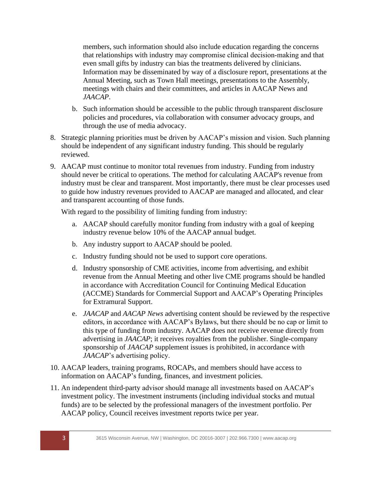members, such information should also include education regarding the concerns that relationships with industry may compromise clinical decision‐making and that even small gifts by industry can bias the treatments delivered by clinicians. Information may be disseminated by way of a disclosure report, presentations at the Annual Meeting, such as Town Hall meetings, presentations to the Assembly, meetings with chairs and their committees, and articles in AACAP News and *JAACAP*.

- b. Such information should be accessible to the public through transparent disclosure policies and procedures, via collaboration with consumer advocacy groups, and through the use of media advocacy.
- 8. Strategic planning priorities must be driven by AACAP's mission and vision. Such planning should be independent of any significant industry funding. This should be regularly reviewed.
- 9. AACAP must continue to monitor total revenues from industry. Funding from industry should never be critical to operations. The method for calculating AACAP's revenue from industry must be clear and transparent. Most importantly, there must be clear processes used to guide how industry revenues provided to AACAP are managed and allocated, and clear and transparent accounting of those funds.

With regard to the possibility of limiting funding from industry:

- a. AACAP should carefully monitor funding from industry with a goal of keeping industry revenue below 10% of the AACAP annual budget.
- b. Any industry support to AACAP should be pooled.
- c. Industry funding should not be used to support core operations.
- d. Industry sponsorship of CME activities, income from advertising, and exhibit revenue from the Annual Meeting and other live CME programs should be handled in accordance with Accreditation Council for Continuing Medical Education (ACCME) Standards for Commercial Support and AACAP's Operating Principles for Extramural Support.
- e. *JAACAP* and *AACAP News* advertising content should be reviewed by the respective editors, in accordance with AACAP's Bylaws, but there should be no cap or limit to this type of funding from industry. AACAP does not receive revenue directly from advertising in *JAACAP*; it receives royalties from the publisher. Single-company sponsorship of *JAACAP* supplement issues is prohibited, in accordance with *JAACAP*'s advertising policy.
- 10. AACAP leaders, training programs, ROCAPs, and members should have access to information on AACAP's funding, finances, and investment policies.
- 11. An independent third-party advisor should manage all investments based on AACAP's investment policy. The investment instruments (including individual stocks and mutual funds) are to be selected by the professional managers of the investment portfolio. Per AACAP policy, Council receives investment reports twice per year.